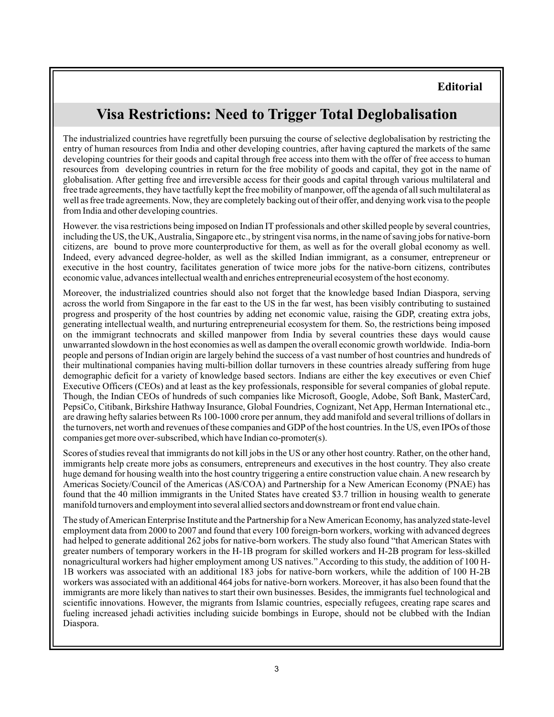## **Editorial**

## **Visa Restrictions: Need to Trigger Total Deglobalisation**

The industrialized countries have regretfully been pursuing the course of selective deglobalisation by restricting the entry of human resources from India and other developing countries, after having captured the markets of the same developing countries for their goods and capital through free access into them with the offer of free access to human resources from developing countries in return for the free mobility of goods and capital, they got in the name of globalisation. After getting free and irreversible access for their goods and capital through various multilateral and free trade agreements, they have tactfully kept the free mobility of manpower, off the agenda of all such multilateral as well as free trade agreements. Now, they are completely backing out of their offer, and denying work visa to the people from India and other developing countries.

However. the visa restrictions being imposed on Indian IT professionals and other skilled people by several countries, including the US, the UK,Australia, Singapore etc., by stringent visa norms, in the name of saving jobs for native-born citizens, are bound to prove more counterproductive for them, as well as for the overall global economy as well. Indeed, every advanced degree-holder, as well as the skilled Indian immigrant, as a consumer, entrepreneur or executive in the host country, facilitates generation of twice more jobs for the native-born citizens, contributes economic value, advances intellectual wealth and enriches entrepreneurial ecosystem of the host economy.

Moreover, the industrialized countries should also not forget that the knowledge based Indian Diaspora, serving across the world from Singapore in the far east to the US in the far west, has been visibly contributing to sustained progress and prosperity of the host countries by adding net economic value, raising the GDP, creating extra jobs, generating intellectual wealth, and nurturing entrepreneurial ecosystem for them. So, the restrictions being imposed on the immigrant technocrats and skilled manpower from India by several countries these days would cause unwarranted slowdown in the host economies as well as dampen the overall economic growth worldwide. India-born people and persons of Indian origin are largely behind the success of a vast number of host countries and hundreds of their multinational companies having multi-billion dollar turnovers in these countries already suffering from huge demographic deficit for a variety of knowledge based sectors. Indians are either the key executives or even Chief Executive Officers (CEOs) and at least as the key professionals, responsible for several companies of global repute. Though, the Indian CEOs of hundreds of such companies like Microsoft, Google, Adobe, Soft Bank, MasterCard, PepsiCo, Citibank, Birkshire Hathway Insurance, Global Foundries, Cognizant, Net App, Herman International etc., are drawing hefty salaries between Rs 100-1000 crore per annum, they add manifold and several trillions of dollars in the turnovers, net worth and revenues of these companies and GDP of the host countries. In the US, even IPOs of those companies get more over-subscribed, which have Indian co-promoter(s).

Scores of studies reveal that immigrants do not kill jobs in the US or any other host country. Rather, on the other hand, immigrants help create more jobs as consumers, entrepreneurs and executives in the host country. They also create huge demand for housing wealth into the host country triggering a entire construction value chain. A new research by Americas Society/Council of the Americas (AS/COA) and Partnership for a New American Economy (PNAE) has found that the 40 million immigrants in the United States have created \$3.7 trillion in housing wealth to generate manifold turnovers and employment into several allied sectors and downstream or front end value chain.

The study ofAmerican Enterprise Institute and the Partnership for a NewAmerican Economy, has analyzed state-level employment data from 2000 to 2007 and found that every 100 foreign-born workers, working with advanced degrees had helped to generate additional 262 jobs for native-born workers. The study also found "that American States with greater numbers of temporary workers in the H-1B program for skilled workers and H-2B program for less-skilled nonagricultural workers had higher employment among US natives." According to this study, the addition of 100 H-1B workers was associated with an additional 183 jobs for native-born workers, while the addition of 100 H-2B workers was associated with an additional 464 jobs for native-born workers. Moreover, it has also been found that the immigrants are more likely than natives to start their own businesses. Besides, the immigrants fuel technological and scientific innovations. However, the migrants from Islamic countries, especially refugees, creating rape scares and fueling increased jehadi activities including suicide bombings in Europe, should not be clubbed with the Indian Diaspora.